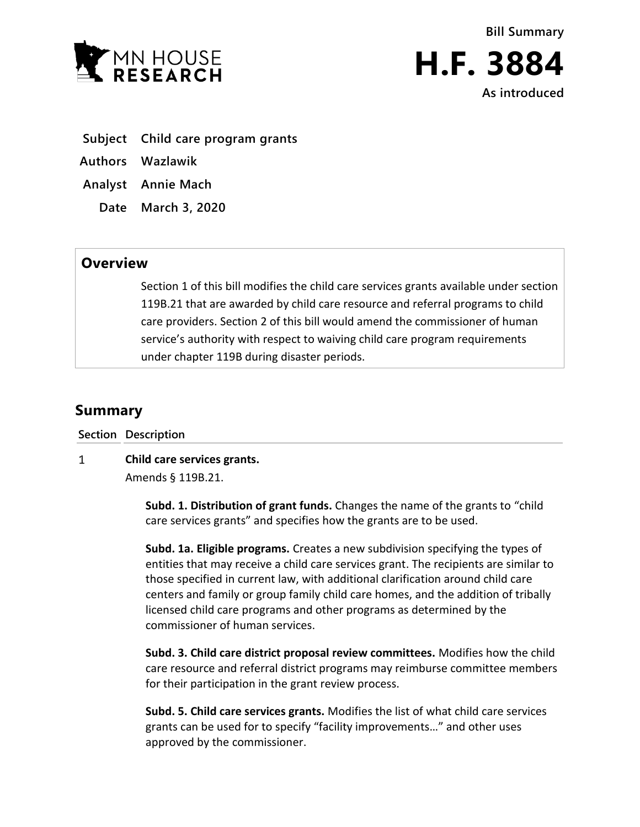

**Bill Summary**



- **Subject Child care program grants**
- **Authors Wazlawik**
- **Analyst Annie Mach**
	- **Date March 3, 2020**

## **Overview**

Section 1 of this bill modifies the child care services grants available under section 119B.21 that are awarded by child care resource and referral programs to child care providers. Section 2 of this bill would amend the commissioner of human service's authority with respect to waiving child care program requirements under chapter 119B during disaster periods.

## **Summary**

**Section Description**

 $\mathbf{1}$ **Child care services grants.** Amends § 119B.21.

> **Subd. 1. Distribution of grant funds.** Changes the name of the grants to "child care services grants" and specifies how the grants are to be used.

**Subd. 1a. Eligible programs.** Creates a new subdivision specifying the types of entities that may receive a child care services grant. The recipients are similar to those specified in current law, with additional clarification around child care centers and family or group family child care homes, and the addition of tribally licensed child care programs and other programs as determined by the commissioner of human services.

**Subd. 3. Child care district proposal review committees.** Modifies how the child care resource and referral district programs may reimburse committee members for their participation in the grant review process.

**Subd. 5. Child care services grants.** Modifies the list of what child care services grants can be used for to specify "facility improvements…" and other uses approved by the commissioner.